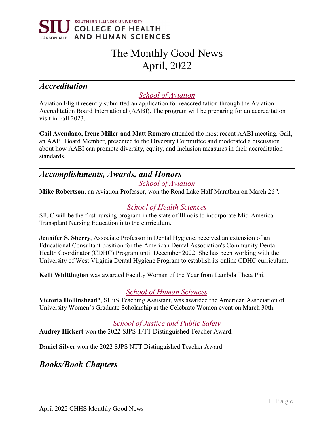

# The Monthly Good News April, 2022

# *Accreditation*

## *School of Aviation*

Aviation Flight recently submitted an application for reaccreditation through the Aviation Accreditation Board International (AABI). The program will be preparing for an accreditation visit in Fall 2023.

**Gail Avendano, Irene Miller and Matt Romero** attended the most recent AABI meeting. Gail, an AABI Board Member, presented to the Diversity Committee and moderated a discussion about how AABI can promote diversity, equity, and inclusion measures in their accreditation standards.

## *Accomplishments, Awards, and Honors*

*School of Aviation*

Mike Robertson, an Aviation Professor, won the Rend Lake Half Marathon on March 26<sup>th</sup>.

#### *School of Health Sciences*

SIUC will be the first nursing program in the state of Illinois to incorporate Mid-America Transplant Nursing Education into the curriculum.

**Jennifer S. Sherry**, Associate Professor in Dental Hygiene, received an extension of an Educational Consultant position for the American Dental Association's Community Dental Health Coordinator (CDHC) Program until December 2022. She has been working with the University of West Virginia Dental Hygiene Program to establish its online CDHC curriculum.

**Kelli Whittington** was awarded Faculty Woman of the Year from Lambda Theta Phi.

#### *School of Human Sciences*

**Victoria Hollinshead**\*, SHuS Teaching Assistant, was awarded the American Association of University Women's Graduate Scholarship at the Celebrate Women event on March 30th.

## *School of Justice and Public Safety*

**Audrey Hickert** won the 2022 SJPS T/TT Distinguished Teacher Award.

**Daniel Silver** won the 2022 SJPS NTT Distinguished Teacher Award.

## *Books/Book Chapters*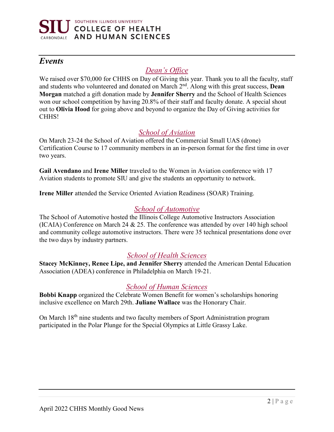

## *Events*

## *Dean's Office*

We raised over \$70,000 for CHHS on Day of Giving this year. Thank you to all the faculty, staff and students who volunteered and donated on March 2nd. Along with this great success, **Dean Morgan** matched a gift donation made by **Jennifer Sherry** and the School of Health Sciences won our school competition by having 20.8% of their staff and faculty donate. A special shout out to **Olivia Hood** for going above and beyond to organize the Day of Giving activities for CHHS!

#### *School of Aviation*

On March 23-24 the School of Aviation offered the Commercial Small UAS (drone) Certification Course to 17 community members in an in-person format for the first time in over two years.

**Gail Avendano** and **Irene Miller** traveled to the Women in Aviation conference with 17 Aviation students to promote SIU and give the students an opportunity to network.

**Irene Miller** attended the Service Oriented Aviation Readiness (SOAR) Training.

#### *School of Automotive*

The School of Automotive hosted the Illinois College Automotive Instructors Association (ICAIA) Conference on March 24 & 25. The conference was attended by over 140 high school and community college automotive instructors. There were 35 technical presentations done over the two days by industry partners.

#### *School of Health Sciences*

**Stacey McKinney, Renee Lipe, and Jennifer Sherry** attended the American Dental Education Association (ADEA) conference in Philadelphia on March 19-21.

#### *School of Human Sciences*

**Bobbi Knapp** organized the Celebrate Women Benefit for women's scholarships honoring inclusive excellence on March 29th. **Juliane Wallace** was the Honorary Chair.

On March 18th nine students and two faculty members of Sport Administration program participated in the Polar Plunge for the Special Olympics at Little Grassy Lake.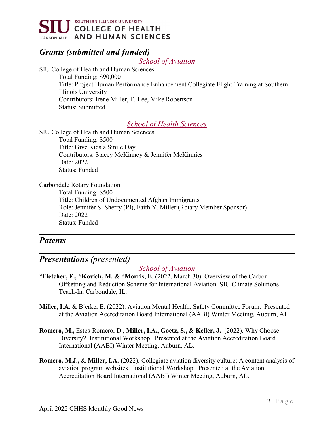

# *Grants (submitted and funded)*

*School of Aviation*

SIU College of Health and Human Sciences Total Funding: \$90,000 Title: Project Human Performance Enhancement Collegiate Flight Training at Southern Illinois University Contributors: Irene Miller, E. Lee, Mike Robertson Status: Submitted

#### *School of Health Sciences*

SIU College of Health and Human Sciences Total Funding: \$500 Title: Give Kids a Smile Day Contributors: Stacey McKinney & Jennifer McKinnies Date: 2022

Carbondale Rotary Foundation

Status: Funded

Total Funding: \$500 Title: Children of Undocumented Afghan Immigrants Role: Jennifer S. Sherry (PI), Faith Y. Miller (Rotary Member Sponsor) Date: 2022 Status: Funded

## *Patents*

## *Presentations (presented)*

#### *School of Aviation*

- \***Fletcher, E., \*Kovich, M. & \*Morris, E**. (2022, March 30). Overview of the Carbon Offsetting and Reduction Scheme for International Aviation. SIU Climate Solutions Teach-In. Carbondale, IL.
- **Miller, I.A.** & Bjerke, E. (2022). Aviation Mental Health. Safety Committee Forum. Presented at the Aviation Accreditation Board International (AABI) Winter Meeting, Auburn, AL.
- **Romero, M.,** Estes-Romero, D., **Miller, I.A., Goetz, S.,** & **Keller, J.** (2022). Why Choose Diversity? Institutional Workshop. Presented at the Aviation Accreditation Board International (AABI) Winter Meeting, Auburn, AL.
- **Romero, M.J.,** & **Miller, I.A.** (2022). Collegiate aviation diversity culture: A content analysis of aviation program websites. Institutional Workshop. Presented at the Aviation Accreditation Board International (AABI) Winter Meeting, Auburn, AL.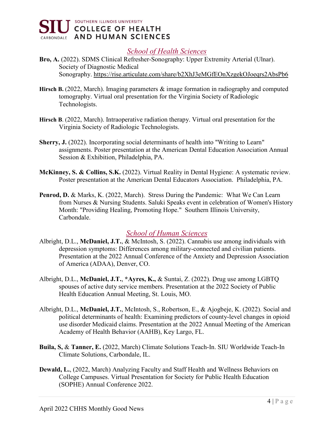

#### *School of Health Sciences*

- **Bro, A.** (2022). SDMS Clinical Refresher-Sonography: Upper Extremity Arterial (Ulnar). Society of Diagnostic Medical Sonography. [https://rise.articulate.com/share/b2XhJ3eMGfEOnXzgekOJoeqrs2AbsPb6](https://nam11.safelinks.protection.outlook.com/?url=https%3A%2F%2Frise.articulate.com%2Fshare%2Fb2XhJ3eMGfEOnXzgekOJoeqrs2AbsPb6&data=04%7C01%7Ckscollin%40siu.edu%7C1659fbf625864299134308da12863f67%7Cd57a98e7744d43f9bc9108de1ff3710d%7C0%7C0%7C637842665043886092%7CUnknown%7CTWFpbGZsb3d8eyJWIjoiMC4wLjAwMDAiLCJQIjoiV2luMzIiLCJBTiI6Ik1haWwiLCJXVCI6Mn0%3D%7C3000&sdata=BUp3PtHFJyVHhR2V%2FakOfLZ%2BVxVk8ZvJc%2FyESxUfs%2F8%3D&reserved=0)
- **Hirsch B.** (2022, March). Imaging parameters & image formation in radiography and computed tomography. Virtual oral presentation for the Virginia Society of Radiologic Technologists.
- **Hirsch B**. (2022, March). Intraoperative radiation therapy. Virtual oral presentation for the Virginia Society of Radiologic Technologists.
- **Sherry, J.** (2022). Incorporating social determinants of health into "Writing to Learn" assignments. Poster presentation at the American Dental Education Association Annual Session & Exhibition, Philadelphia, PA.
- **McKinney, S. & Collins, S.K.** (2022). Virtual Reality in Dental Hygiene: A systematic review. Poster presentation at the American Dental Educators Association. Philadelphia, PA.
- **Penrod, D.** & Marks, K. (2022, March). Stress During the Pandemic: What We Can Learn from Nurses & Nursing Students. Saluki Speaks event in celebration of Women's History Month: "Providing Healing, Promoting Hope." Southern Illinois University, Carbondale.

#### *School of Human Sciences*

- Albright, D.L., **McDaniel, J.T.**, & McIntosh, S. (2022). Cannabis use among individuals with depression symptoms: Differences among military-connected and civilian patients. Presentation at the 2022 Annual Conference of the Anxiety and Depression Association of America (ADAA), Denver, CO.
- Albright, D.L., **McDaniel, J.T.**, **\*Ayres, K.,** & Suntai, Z. (2022). Drug use among LGBTQ spouses of active duty service members. Presentation at the 2022 Society of Public Health Education Annual Meeting, St. Louis, MO.
- Albright, D.L., **McDaniel, J.T.**, McIntosh, S., Robertson, E., & Ajogbeje, K. (2022). Social and political determinants of health: Examining predictors of county-level changes in opioid use disorder Medicaid claims. Presentation at the 2022 Annual Meeting of the American Academy of Health Behavior (AAHB), Key Largo, FL.
- **Buila, S,** & **Tanner, E.** (2022, March) Climate Solutions Teach-In. SIU Worldwide Teach-In Climate Solutions, Carbondale, IL.
- **Dewald, L.**, (2022, March) Analyzing Faculty and Staff Health and Wellness Behaviors on College Campuses. Virtual Presentation for Society for Public Health Education (SOPHE) Annual Conference 2022.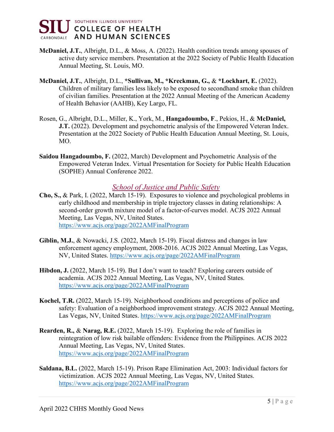

- **McDaniel, J.T.**, Albright, D.L., & Moss, A. (2022). Health condition trends among spouses of active duty service members. Presentation at the 2022 Society of Public Health Education Annual Meeting, St. Louis, MO.
- **McDaniel, J.T.**, Albright, D.L., **\*Sullivan, M., \*Kreckman, G.,** & **\*Lockhart, E.** (2022). Children of military families less likely to be exposed to secondhand smoke than children of civilian families. Presentation at the 2022 Annual Meeting of the American Academy of Health Behavior (AAHB), Key Largo, FL.
- Rosen, G., Albright, D.L., Miller, K., York, M., **Hangadoumbo, F**., Pekios, H., & **McDaniel, J.T.** (2022). Development and psychometric analysis of the Empowered Veteran Index. Presentation at the 2022 Society of Public Health Education Annual Meeting, St. Louis, MO.
- **Saidou Hangadoumbo, F.** (2022, March) Development and Psychometric Analysis of the Empowered Veteran Index. Virtual Presentation for Society for Public Health Education (SOPHE) Annual Conference 2022.

#### *School of Justice and Public Safety*

- **Cho, S.,** & Park, I. (2022, March 15-19). Exposures to violence and psychological problems in early childhood and membership in triple trajectory classes in dating relationships: A second-order growth mixture model of a factor-of-curves model. ACJS 2022 Annual Meeting, Las Vegas, NV, United States. <https://www.acjs.org/page/2022AMFinalProgram>
- **Giblin, M.J.**, & Nowacki, J.S. (2022, March 15-19). Fiscal distress and changes in law enforcement agency employment, 2008-2016. ACJS 2022 Annual Meeting, Las Vegas, NV, United States.<https://www.acjs.org/page/2022AMFinalProgram>
- **Hibdon, J.** (2022, March 15-19). But I don't want to teach? Exploring careers outside of academia. ACJS 2022 Annual Meeting, Las Vegas, NV, United States. <https://www.acjs.org/page/2022AMFinalProgram>
- **Kochel, T.R.** (2022, March 15-19). Neighborhood conditions and perceptions of police and safety: Evaluation of a neighborhood improvement strategy. ACJS 2022 Annual Meeting, Las Vegas, NV, United States.<https://www.acjs.org/page/2022AMFinalProgram>
- **Rearden, R.,** & **Narag, R.E.** (2022, March 15-19). Exploring the role of families in reintegration of low risk bailable offenders: Evidence from the Philippines. ACJS 2022 Annual Meeting, Las Vegas, NV, United States. <https://www.acjs.org/page/2022AMFinalProgram>
- **Saldana, B.L.** (2022, March 15-19). Prison Rape Elimination Act, 2003: Individual factors for victimization. ACJS 2022 Annual Meeting, Las Vegas, NV, United States. <https://www.acjs.org/page/2022AMFinalProgram>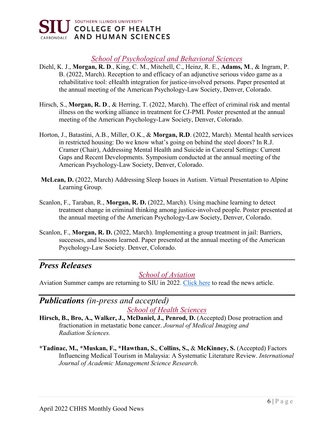

#### *School of Psychological and Behavioral Sciences*

- Diehl, K. J., **Morgan, R. D**., King, C. M., Mitchell, C., Heinz, R. E., **Adams, M**., & Ingram, P. B. (2022, March). Reception to and efficacy of an adjunctive serious video game as a rehabilitative tool: eHealth integration for justice-involved persons. Paper presented at the annual meeting of the American Psychology-Law Society, Denver, Colorado.
- Hirsch, S., **Morgan, R. D**., & Herring, T. (2022, March). The effect of criminal risk and mental illness on the working alliance in treatment for CJ-PMI. Poster presented at the annual meeting of the American Psychology-Law Society, Denver, Colorado.
- Horton, J., Batastini, A.B., Miller, O.K., & **Morgan, R.D**. (2022, March). Mental health services in restricted housing: Do we know what's going on behind the steel doors? In R.J. Cramer (Chair), Addressing Mental Health and Suicide in Carceral Settings: Current Gaps and Recent Developments. Symposium conducted at the annual meeting of the American Psychology-Law Society, Denver, Colorado.
- **McLean, D.** (2022, March) Addressing Sleep Issues in Autism. Virtual Presentation to Alpine Learning Group.
- Scanlon, F., Taraban, R., **Morgan, R. D.** (2022, March). Using machine learning to detect treatment change in criminal thinking among justice-involved people. Poster presented at the annual meeting of the American Psychology-Law Society, Denver, Colorado.
- Scanlon, F., **Morgan, R. D.** (2022, March). Implementing a group treatment in jail: Barriers, successes, and lessons learned. Paper presented at the annual meeting of the American Psychology-Law Society. Denver, Colorado.

## *Press Releases*

#### *School of Aviation*

Aviation Summer camps are returning to SIU in 202[2. Click here](https://thesouthern.com/news/local/siu/siu-debuts-new-summer-camp-experiences-popular-offerings-are-back/article_657ac038-557d-5602-a056-06824e1f9071.html) to read the news article.

# *Publications (in-press and accepted)*

*School of Health Sciences*

- **Hirsch, B., Bro, A., Walker, J., McDaniel, J., Penrod, D.** (Accepted) Dose protraction and fractionation in metastatic bone cancer. *Journal of Medical Imaging and Radiation Sciences.*
- **\*Tadinac, M., \*Muskan, F., \*Hawthan, S.**, **Collins, S.,** & **McKinney, S.** (Accepted) Factors Influencing Medical Tourism in Malaysia: A Systematic Literature Review. *International Journal of Academic Management Science Research*.